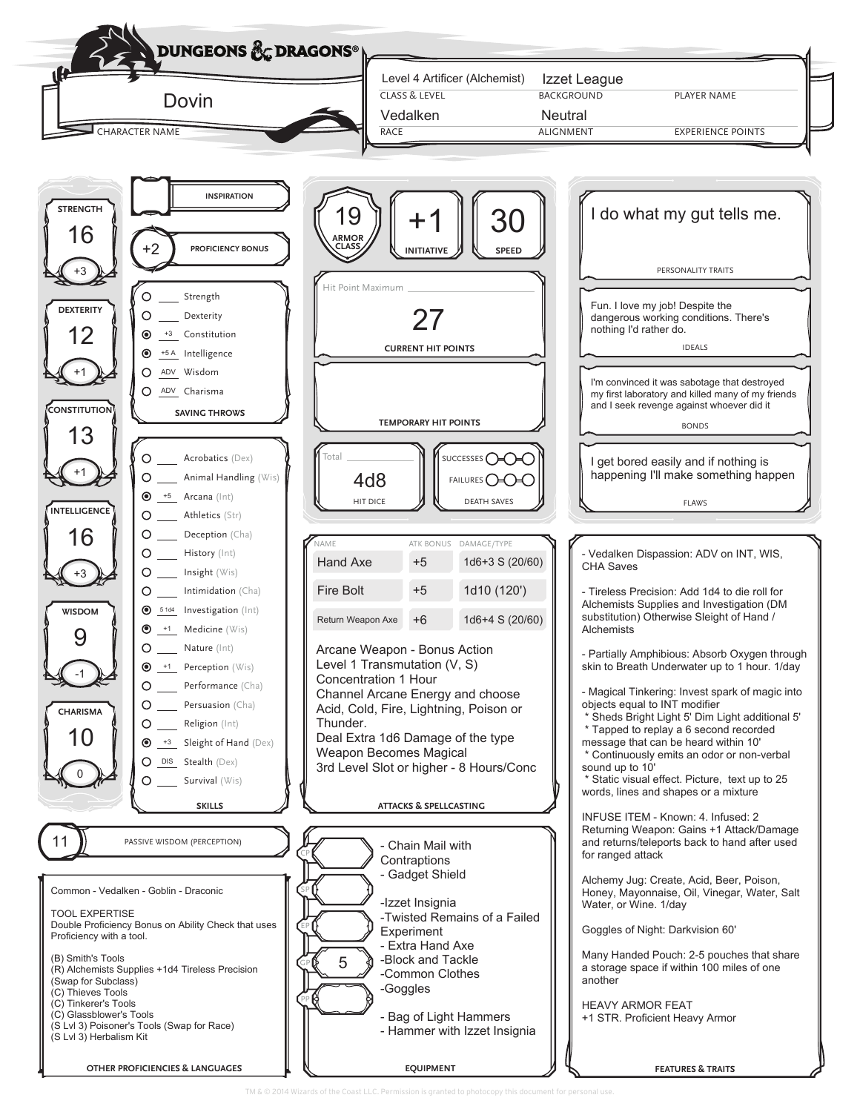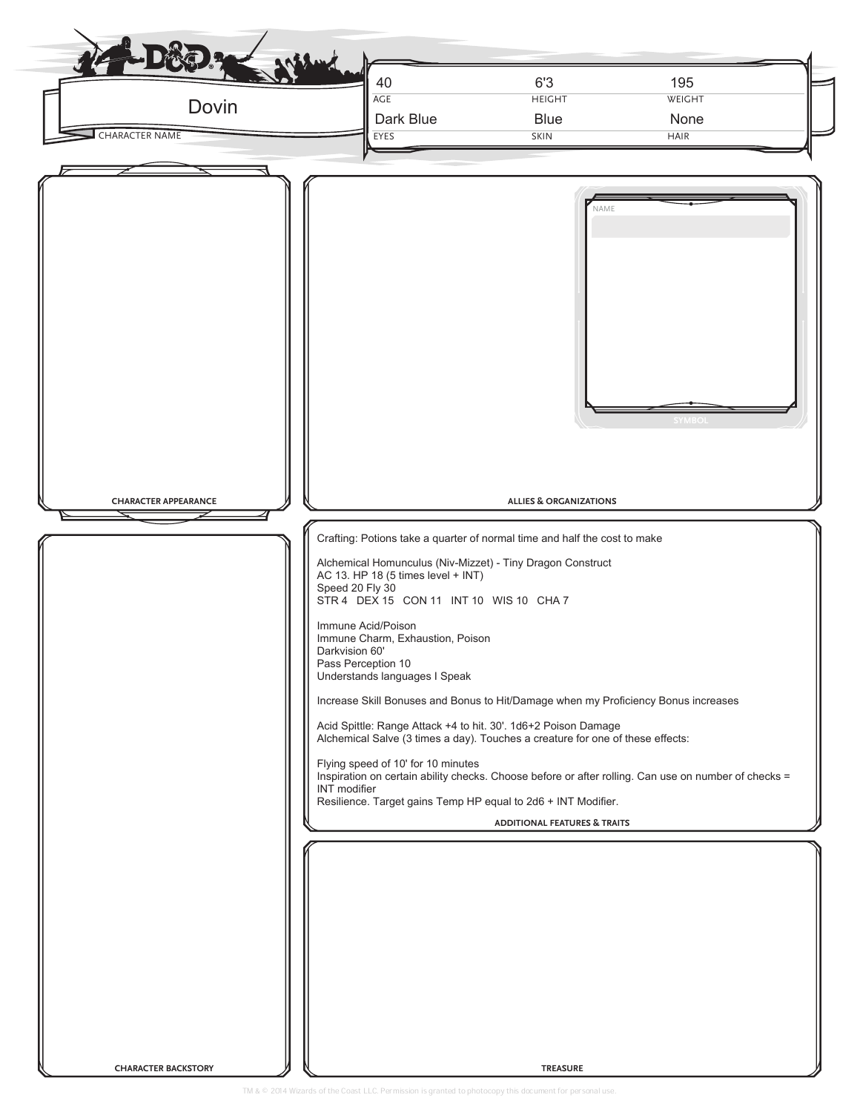| Dovin<br><b>CHARACTER NAME</b> | 6'3<br>195<br>40<br>AGE<br><b>HEIGHT</b><br>WEIGHT<br>Dark Blue<br><b>Blue</b><br>None<br>EYES<br><b>SKIN</b><br><b>HAIR</b>                                                                                                                                                                                                                                                                                                                                                                                                                                                                                                                                                                                                                                                                                                                                                                                                                                     |
|--------------------------------|------------------------------------------------------------------------------------------------------------------------------------------------------------------------------------------------------------------------------------------------------------------------------------------------------------------------------------------------------------------------------------------------------------------------------------------------------------------------------------------------------------------------------------------------------------------------------------------------------------------------------------------------------------------------------------------------------------------------------------------------------------------------------------------------------------------------------------------------------------------------------------------------------------------------------------------------------------------|
| <b>CHARACTER APPEARANCE</b>    | NAME<br><b>SYMBOI</b><br><b>ALLIES &amp; ORGANIZATIONS</b><br>Crafting: Potions take a quarter of normal time and half the cost to make<br>Alchemical Homunculus (Niv-Mizzet) - Tiny Dragon Construct<br>AC 13. HP 18 (5 times level + INT)<br>Speed 20 Fly 30<br>STR 4 DEX 15 CON 11 INT 10 WIS 10 CHA 7<br>Immune Acid/Poison<br>Immune Charm, Exhaustion, Poison<br>Darkvision 60'<br>Pass Perception 10<br>Understands languages I Speak<br>Increase Skill Bonuses and Bonus to Hit/Damage when my Proficiency Bonus increases<br>Acid Spittle: Range Attack +4 to hit. 30'. 1d6+2 Poison Damage<br>Alchemical Salve (3 times a day). Touches a creature for one of these effects:<br>Flying speed of 10' for 10 minutes<br>Inspiration on certain ability checks. Choose before or after rolling. Can use on number of checks =<br>INT modifier<br>Resilience. Target gains Temp HP equal to 2d6 + INT Modifier.<br><b>ADDITIONAL FEATURES &amp; TRAITS</b> |
| <b>CHARACTER BACKSTORY</b>     | <b>TREASURE</b>                                                                                                                                                                                                                                                                                                                                                                                                                                                                                                                                                                                                                                                                                                                                                                                                                                                                                                                                                  |